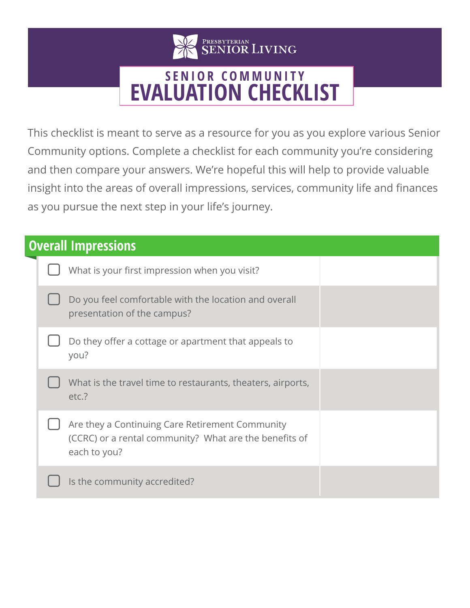

## **SENIOR COMMUNITY EVALUATION CHECKLIST**

This checklist is meant to serve as a resource for you as you explore various Senior Community options. Complete a checklist for each community you're considering and then compare your answers. We're hopeful this will help to provide valuable insight into the areas of overall impressions, services, community life and finances as you pursue the next step in your life's journey.

| <b>Overall Impressions</b> |  |                                                                                                                           |  |
|----------------------------|--|---------------------------------------------------------------------------------------------------------------------------|--|
|                            |  | What is your first impression when you visit?                                                                             |  |
|                            |  | Do you feel comfortable with the location and overall<br>presentation of the campus?                                      |  |
|                            |  | Do they offer a cottage or apartment that appeals to<br>you?                                                              |  |
|                            |  | What is the travel time to restaurants, theaters, airports,<br>etc.?                                                      |  |
|                            |  | Are they a Continuing Care Retirement Community<br>(CCRC) or a rental community? What are the benefits of<br>each to you? |  |
|                            |  | Is the community accredited?                                                                                              |  |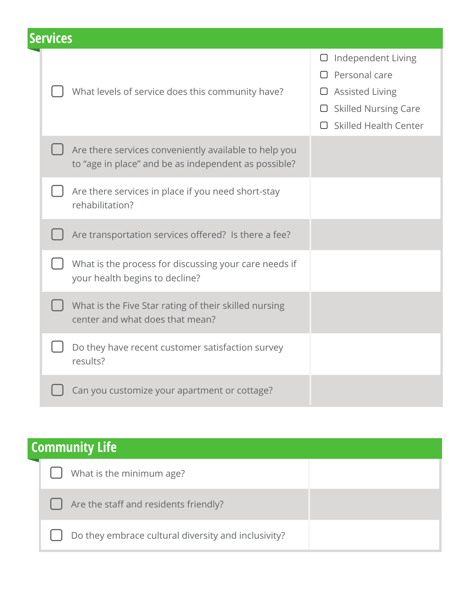| <b>Services</b> |  |  |
|-----------------|--|--|
|                 |  |  |
|                 |  |  |

| What levels of service does this community have?                                                              | Independent Living<br>U<br>Personal care<br><b>Assisted Living</b><br>$\Box$ Skilled Nursing Care<br><b>Skilled Health Center</b> |
|---------------------------------------------------------------------------------------------------------------|-----------------------------------------------------------------------------------------------------------------------------------|
| Are there services conveniently available to help you<br>to "age in place" and be as independent as possible? |                                                                                                                                   |
| Are there services in place if you need short-stay<br>rehabilitation?                                         |                                                                                                                                   |
| Are transportation services offered? Is there a fee?                                                          |                                                                                                                                   |
| What is the process for discussing your care needs if<br>your health begins to decline?                       |                                                                                                                                   |
| What is the Five Star rating of their skilled nursing<br>center and what does that mean?                      |                                                                                                                                   |
| Do they have recent customer satisfaction survey<br>results?                                                  |                                                                                                                                   |
| Can you customize your apartment or cottage?                                                                  |                                                                                                                                   |

| <b>Community Life</b> |  |                                                     |  |
|-----------------------|--|-----------------------------------------------------|--|
|                       |  | What is the minimum age?                            |  |
|                       |  | Are the staff and residents friendly?               |  |
|                       |  | Do they embrace cultural diversity and inclusivity? |  |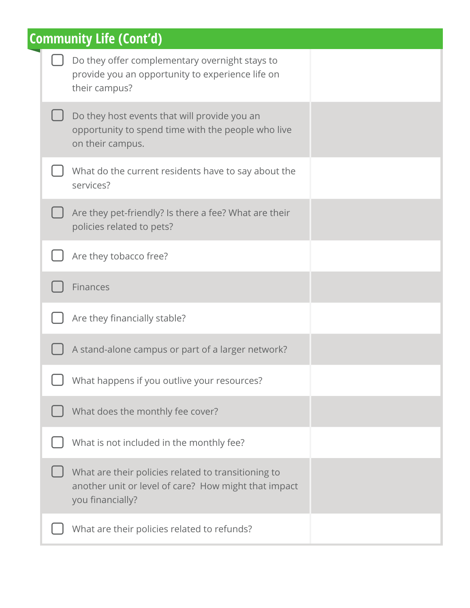| <b>Community Life (Cont'd)</b> |                                                                                                                                 |  |
|--------------------------------|---------------------------------------------------------------------------------------------------------------------------------|--|
|                                | Do they offer complementary overnight stays to<br>provide you an opportunity to experience life on<br>their campus?             |  |
|                                | Do they host events that will provide you an<br>opportunity to spend time with the people who live<br>on their campus.          |  |
|                                | What do the current residents have to say about the<br>services?                                                                |  |
|                                | Are they pet-friendly? Is there a fee? What are their<br>policies related to pets?                                              |  |
|                                | Are they tobacco free?                                                                                                          |  |
|                                | Finances                                                                                                                        |  |
|                                | Are they financially stable?                                                                                                    |  |
|                                | A stand-alone campus or part of a larger network?                                                                               |  |
|                                | What happens if you outlive your resources?                                                                                     |  |
|                                | What does the monthly fee cover?                                                                                                |  |
|                                | What is not included in the monthly fee?                                                                                        |  |
|                                | What are their policies related to transitioning to<br>another unit or level of care? How might that impact<br>you financially? |  |
|                                | What are their policies related to refunds?                                                                                     |  |